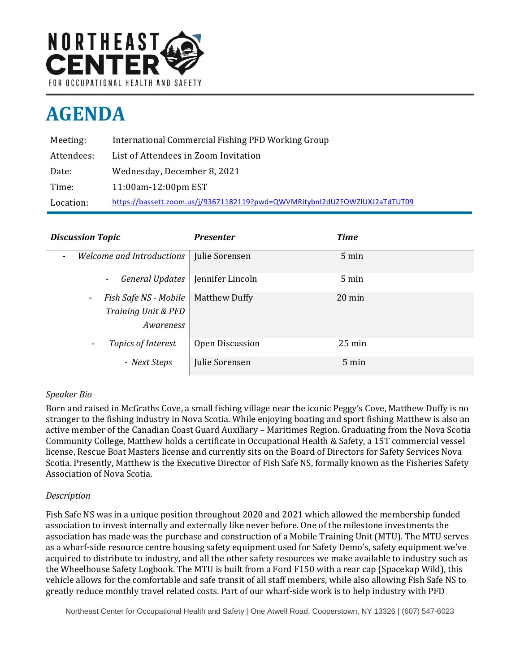

# **AGENDA**

| Meeting:   | International Commercial Fishing PFD Working Group                         |
|------------|----------------------------------------------------------------------------|
| Attendees: | List of Attendees in Zoom Invitation                                       |
| Date:      | Wednesday, December 8, 2021                                                |
| Time:      | 11:00am-12:00pm EST                                                        |
| Location:  | https://bassett.zoom.us/j/93671182119?pwd=QWVMRitybnI2dUZFOWZIUXJ2aTdTUT09 |

| <b>Discussion Topic</b>                                         | <b>Presenter</b>     | <b>Time</b>      |
|-----------------------------------------------------------------|----------------------|------------------|
| Welcome and Introductions<br>$\overline{\phantom{a}}$           | Julie Sorensen       | 5 min            |
| <b>General Updates</b><br>$\blacksquare$                        | Jennifer Lincoln     | $5 \text{ min}$  |
| Fish Safe NS - Mobile<br>۰.<br>Training Unit & PFD<br>Awareness | <b>Matthew Duffy</b> | $20 \text{ min}$ |
| Topics of Interest<br>$\overline{\phantom{a}}$                  | Open Discussion      | $25 \text{ min}$ |
| - Next Steps                                                    | Julie Sorensen       | $5 \text{ min}$  |

# *Speaker Bio*

Born and raised in McGraths Cove, a small fishing village near the iconic Peggy's Cove, Matthew Duffy is no stranger to the fishing industry in Nova Scotia. While enjoying boating and sport fishing Matthew is also an active member of the Canadian Coast Guard Auxiliary – Maritimes Region. Graduating from the Nova Scotia Community College, Matthew holds a certificate in Occupational Health & Safety, a 15T commercial vessel license, Rescue Boat Masters license and currently sits on the Board of Directors for Safety Services Nova Scotia. Presently, Matthew is the Executive Director of Fish Safe NS, formally known as the Fisheries Safety Association of Nova Scotia.

# *Description*

Fish Safe NS was in a unique position throughout 2020 and 2021 which allowed the membership funded association to invest internally and externally like never before. One of the milestone investments the association has made was the purchase and construction of a Mobile Training Unit (MTU). The MTU serves as a wharf-side resource centre housing safety equipment used for Safety Demo's, safety equipment we've acquired to distribute to industry, and all the other safety resources we make available to industry such as the Wheelhouse Safety Logbook. The MTU is built from a Ford F150 with a rear cap (Spacekap Wild), this vehicle allows for the comfortable and safe transit of all staff members, while also allowing Fish Safe NS to greatly reduce monthly travel related costs. Part of our wharf-side work is to help industry with PFD

Northeast Center for Occupational Health and Safety | One Atwell Road, Cooperstown, NY 13326 | (607) 547-6023